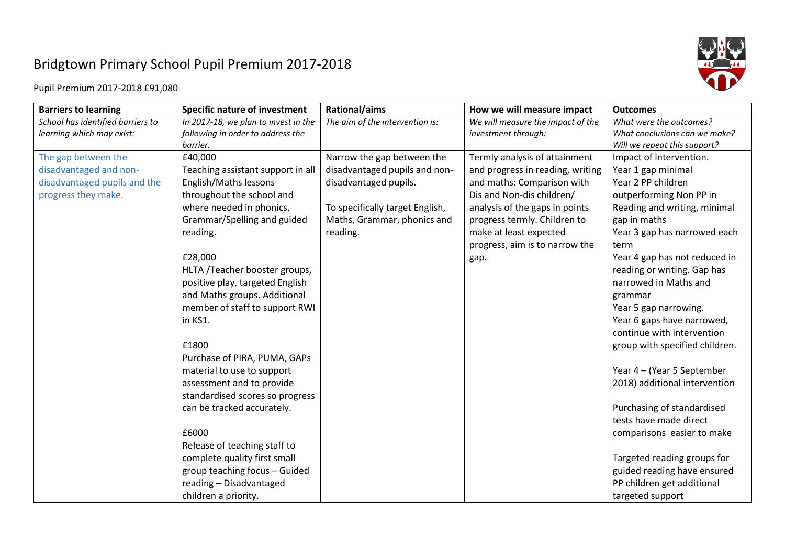## Bridgtown Primary School Pupil Premium 2017-2018



Pupil Premium 2017-2018 £91,080

| <b>Barriers to learning</b>       | <b>Specific nature of investment</b> | Rational/aims                   | How we will measure impact        | <b>Outcomes</b>                |
|-----------------------------------|--------------------------------------|---------------------------------|-----------------------------------|--------------------------------|
| School has identified barriers to | In 2017-18, we plan to invest in the | The aim of the intervention is: | We will measure the impact of the | What were the outcomes?        |
| learning which may exist:         | following in order to address the    |                                 | investment through:               | What conclusions can we make?  |
|                                   | barrier.                             |                                 |                                   | Will we repeat this support?   |
| The gap between the               | £40,000                              | Narrow the gap between the      | Termly analysis of attainment     | Impact of intervention.        |
| disadvantaged and non-            | Teaching assistant support in all    | disadvantaged pupils and non-   | and progress in reading, writing  | Year 1 gap minimal             |
| disadvantaged pupils and the      | English/Maths lessons                | disadvantaged pupils.           | and maths: Comparison with        | Year 2 PP children             |
| progress they make.               | throughout the school and            |                                 | Dis and Non-dis children/         | outperforming Non PP in        |
|                                   | where needed in phonics,             | To specifically target English, | analysis of the gaps in points    | Reading and writing, minimal   |
|                                   | Grammar/Spelling and guided          | Maths, Grammar, phonics and     | progress termly. Children to      | gap in maths                   |
|                                   | reading.                             | reading.                        | make at least expected            | Year 3 gap has narrowed each   |
|                                   |                                      |                                 | progress, aim is to narrow the    | term                           |
|                                   | £28,000                              |                                 | gap.                              | Year 4 gap has not reduced in  |
|                                   | HLTA /Teacher booster groups,        |                                 |                                   | reading or writing. Gap has    |
|                                   | positive play, targeted English      |                                 |                                   | narrowed in Maths and          |
|                                   | and Maths groups. Additional         |                                 |                                   | grammar                        |
|                                   | member of staff to support RWI       |                                 |                                   | Year 5 gap narrowing.          |
|                                   | in KS1.                              |                                 |                                   | Year 6 gaps have narrowed,     |
|                                   |                                      |                                 |                                   | continue with intervention     |
|                                   | £1800                                |                                 |                                   | group with specified children. |
|                                   | Purchase of PIRA, PUMA, GAPs         |                                 |                                   |                                |
|                                   | material to use to support           |                                 |                                   | Year 4 - (Year 5 September     |
|                                   | assessment and to provide            |                                 |                                   | 2018) additional intervention  |
|                                   | standardised scores so progress      |                                 |                                   |                                |
|                                   | can be tracked accurately.           |                                 |                                   | Purchasing of standardised     |
|                                   |                                      |                                 |                                   | tests have made direct         |
|                                   | £6000                                |                                 |                                   | comparisons easier to make     |
|                                   | Release of teaching staff to         |                                 |                                   |                                |
|                                   | complete quality first small         |                                 |                                   | Targeted reading groups for    |
|                                   | group teaching focus - Guided        |                                 |                                   | guided reading have ensured    |
|                                   | reading - Disadvantaged              |                                 |                                   | PP children get additional     |
|                                   | children a priority.                 |                                 |                                   | targeted support               |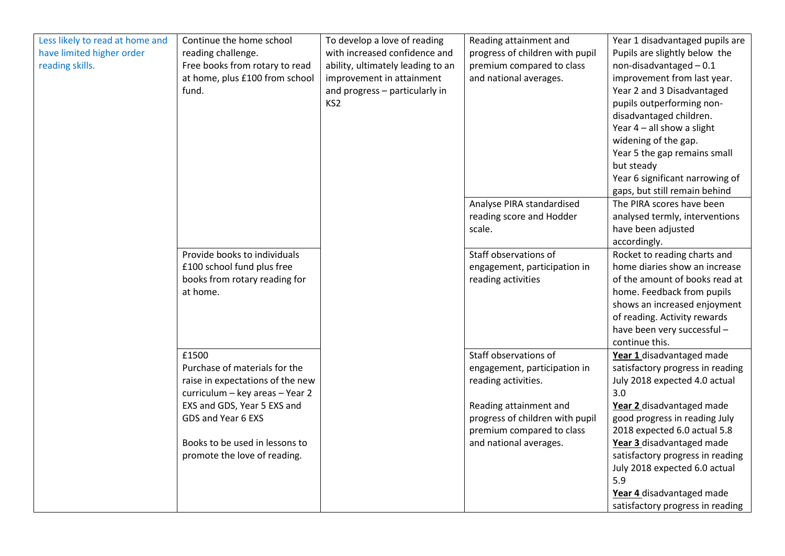| Less likely to read at home and<br>have limited higher order<br>reading skills. | Continue the home school<br>reading challenge.<br>Free books from rotary to read<br>at home, plus £100 from school<br>fund.                                                                                                          | To develop a love of reading<br>with increased confidence and<br>ability, ultimately leading to an<br>improvement in attainment<br>and progress - particularly in<br>KS <sub>2</sub> | Reading attainment and<br>progress of children with pupil<br>premium compared to class<br>and national averages.                                                                                 | Year 1 disadvantaged pupils are<br>Pupils are slightly below the<br>non-disadvantaged $-0.1$<br>improvement from last year.<br>Year 2 and 3 Disadvantaged<br>pupils outperforming non-<br>disadvantaged children.<br>Year $4$ – all show a slight<br>widening of the gap.<br>Year 5 the gap remains small<br>but steady<br>Year 6 significant narrowing of<br>gaps, but still remain behind |
|---------------------------------------------------------------------------------|--------------------------------------------------------------------------------------------------------------------------------------------------------------------------------------------------------------------------------------|--------------------------------------------------------------------------------------------------------------------------------------------------------------------------------------|--------------------------------------------------------------------------------------------------------------------------------------------------------------------------------------------------|---------------------------------------------------------------------------------------------------------------------------------------------------------------------------------------------------------------------------------------------------------------------------------------------------------------------------------------------------------------------------------------------|
|                                                                                 |                                                                                                                                                                                                                                      |                                                                                                                                                                                      | Analyse PIRA standardised<br>reading score and Hodder<br>scale.                                                                                                                                  | The PIRA scores have been<br>analysed termly, interventions<br>have been adjusted<br>accordingly.                                                                                                                                                                                                                                                                                           |
|                                                                                 | Provide books to individuals<br>£100 school fund plus free<br>books from rotary reading for<br>at home.                                                                                                                              |                                                                                                                                                                                      | Staff observations of<br>engagement, participation in<br>reading activities                                                                                                                      | Rocket to reading charts and<br>home diaries show an increase<br>of the amount of books read at<br>home. Feedback from pupils<br>shows an increased enjoyment<br>of reading. Activity rewards<br>have been very successful -<br>continue this.                                                                                                                                              |
|                                                                                 | £1500<br>Purchase of materials for the<br>raise in expectations of the new<br>curriculum - key areas - Year 2<br>EXS and GDS, Year 5 EXS and<br>GDS and Year 6 EXS<br>Books to be used in lessons to<br>promote the love of reading. |                                                                                                                                                                                      | Staff observations of<br>engagement, participation in<br>reading activities.<br>Reading attainment and<br>progress of children with pupil<br>premium compared to class<br>and national averages. | Year 1 disadvantaged made<br>satisfactory progress in reading<br>July 2018 expected 4.0 actual<br>3.0<br>Year 2 disadvantaged made<br>good progress in reading July<br>2018 expected 6.0 actual 5.8<br>Year 3 disadvantaged made<br>satisfactory progress in reading                                                                                                                        |
|                                                                                 |                                                                                                                                                                                                                                      |                                                                                                                                                                                      |                                                                                                                                                                                                  | July 2018 expected 6.0 actual<br>5.9<br>Year 4 disadvantaged made<br>satisfactory progress in reading                                                                                                                                                                                                                                                                                       |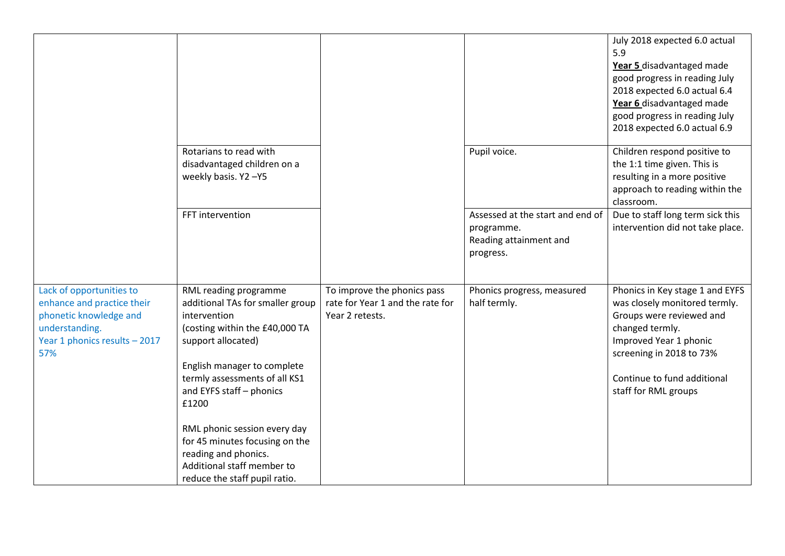|                                                                                                                                            |                                                                                                                                                                                                                                                                        |                                                                                    |                                                                                       | July 2018 expected 6.0 actual<br>5.9<br>Year 5 disadvantaged made<br>good progress in reading July<br>2018 expected 6.0 actual 6.4<br>Year 6 disadvantaged made<br>good progress in reading July<br>2018 expected 6.0 actual 6.9 |
|--------------------------------------------------------------------------------------------------------------------------------------------|------------------------------------------------------------------------------------------------------------------------------------------------------------------------------------------------------------------------------------------------------------------------|------------------------------------------------------------------------------------|---------------------------------------------------------------------------------------|----------------------------------------------------------------------------------------------------------------------------------------------------------------------------------------------------------------------------------|
|                                                                                                                                            | Rotarians to read with<br>disadvantaged children on a<br>weekly basis. Y2-Y5                                                                                                                                                                                           |                                                                                    | Pupil voice.                                                                          | Children respond positive to<br>the 1:1 time given. This is<br>resulting in a more positive<br>approach to reading within the<br>classroom.                                                                                      |
|                                                                                                                                            | FFT intervention                                                                                                                                                                                                                                                       |                                                                                    | Assessed at the start and end of<br>programme.<br>Reading attainment and<br>progress. | Due to staff long term sick this<br>intervention did not take place.                                                                                                                                                             |
| Lack of opportunities to<br>enhance and practice their<br>phonetic knowledge and<br>understanding.<br>Year 1 phonics results - 2017<br>57% | RML reading programme<br>additional TAs for smaller group<br>intervention<br>(costing within the £40,000 TA<br>support allocated)<br>English manager to complete<br>termly assessments of all KS1<br>and EYFS staff - phonics<br>£1200<br>RML phonic session every day | To improve the phonics pass<br>rate for Year 1 and the rate for<br>Year 2 retests. | Phonics progress, measured<br>half termly.                                            | Phonics in Key stage 1 and EYFS<br>was closely monitored termly.<br>Groups were reviewed and<br>changed termly.<br>Improved Year 1 phonic<br>screening in 2018 to 73%<br>Continue to fund additional<br>staff for RML groups     |
|                                                                                                                                            | for 45 minutes focusing on the<br>reading and phonics.<br>Additional staff member to<br>reduce the staff pupil ratio.                                                                                                                                                  |                                                                                    |                                                                                       |                                                                                                                                                                                                                                  |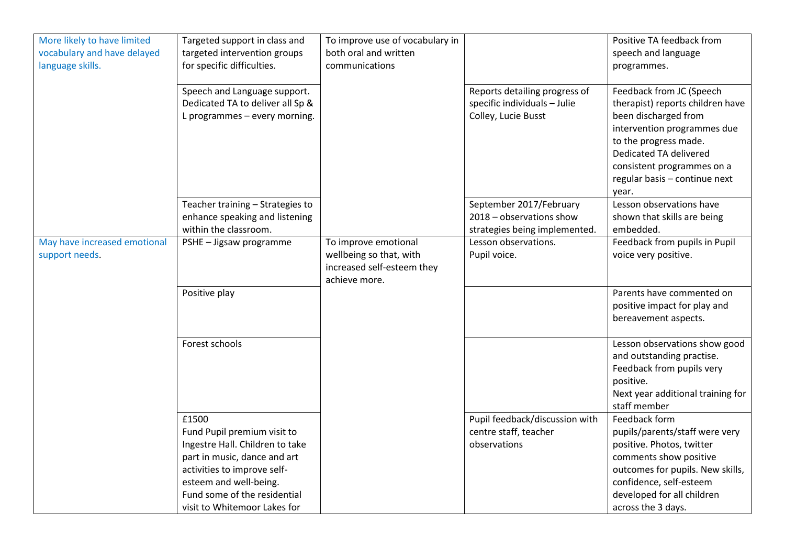| More likely to have limited<br>vocabulary and have delayed<br>language skills. | Targeted support in class and<br>targeted intervention groups<br>for specific difficulties.                                                                                                                                      | To improve use of vocabulary in<br>both oral and written<br>communications                     |                                                                                      | Positive TA feedback from<br>speech and language<br>programmes.                                                                                                                                                                                |
|--------------------------------------------------------------------------------|----------------------------------------------------------------------------------------------------------------------------------------------------------------------------------------------------------------------------------|------------------------------------------------------------------------------------------------|--------------------------------------------------------------------------------------|------------------------------------------------------------------------------------------------------------------------------------------------------------------------------------------------------------------------------------------------|
|                                                                                | Speech and Language support.<br>Dedicated TA to deliver all Sp &<br>L programmes - every morning.                                                                                                                                |                                                                                                | Reports detailing progress of<br>specific individuals - Julie<br>Colley, Lucie Busst | Feedback from JC (Speech<br>therapist) reports children have<br>been discharged from<br>intervention programmes due<br>to the progress made.<br>Dedicated TA delivered<br>consistent programmes on a<br>regular basis - continue next<br>year. |
|                                                                                | Teacher training - Strategies to<br>enhance speaking and listening<br>within the classroom.                                                                                                                                      |                                                                                                | September 2017/February<br>2018 - observations show<br>strategies being implemented. | Lesson observations have<br>shown that skills are being<br>embedded.                                                                                                                                                                           |
| May have increased emotional<br>support needs.                                 | PSHE - Jigsaw programme                                                                                                                                                                                                          | To improve emotional<br>wellbeing so that, with<br>increased self-esteem they<br>achieve more. | Lesson observations.<br>Pupil voice.                                                 | Feedback from pupils in Pupil<br>voice very positive.                                                                                                                                                                                          |
|                                                                                | Positive play                                                                                                                                                                                                                    |                                                                                                |                                                                                      | Parents have commented on<br>positive impact for play and<br>bereavement aspects.                                                                                                                                                              |
|                                                                                | Forest schools                                                                                                                                                                                                                   |                                                                                                |                                                                                      | Lesson observations show good<br>and outstanding practise.<br>Feedback from pupils very<br>positive.<br>Next year additional training for<br>staff member                                                                                      |
|                                                                                | £1500<br>Fund Pupil premium visit to<br>Ingestre Hall. Children to take<br>part in music, dance and art<br>activities to improve self-<br>esteem and well-being.<br>Fund some of the residential<br>visit to Whitemoor Lakes for |                                                                                                | Pupil feedback/discussion with<br>centre staff, teacher<br>observations              | Feedback form<br>pupils/parents/staff were very<br>positive. Photos, twitter<br>comments show positive<br>outcomes for pupils. New skills,<br>confidence, self-esteem<br>developed for all children<br>across the 3 days.                      |